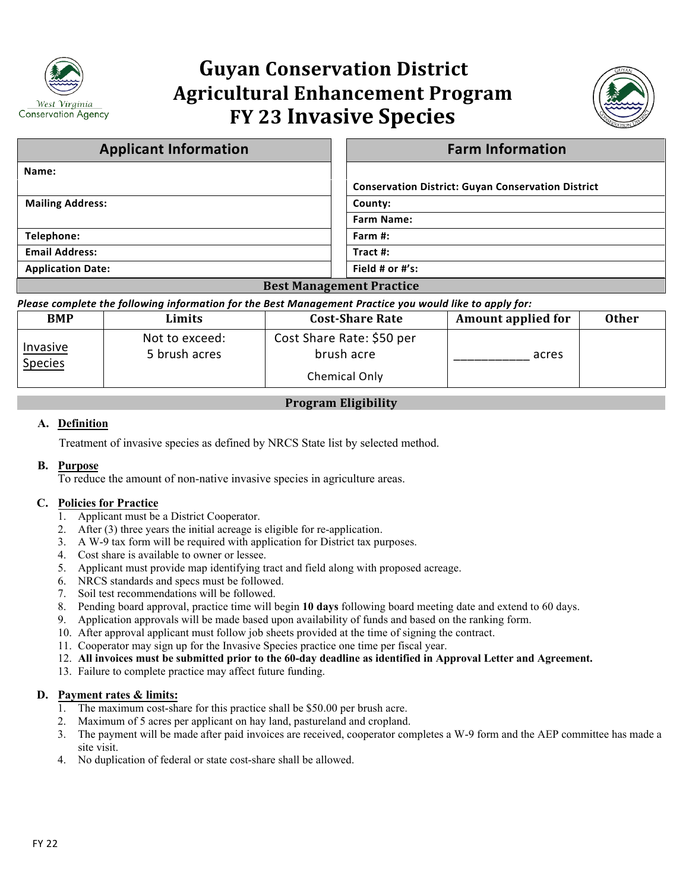

# **Guyan Conservation District Agricultural Enhancement Program FY 23 Invasive Species**



| <b>Applicant Information</b>                                                  | <b>Farm Information</b>                                   |  |  |  |
|-------------------------------------------------------------------------------|-----------------------------------------------------------|--|--|--|
| Name:                                                                         |                                                           |  |  |  |
|                                                                               | <b>Conservation District: Guyan Conservation District</b> |  |  |  |
| <b>Mailing Address:</b>                                                       | County:                                                   |  |  |  |
|                                                                               | <b>Farm Name:</b>                                         |  |  |  |
| Telephone:                                                                    | Farm #:                                                   |  |  |  |
| <b>Email Address:</b>                                                         | Tract #:                                                  |  |  |  |
| <b>Application Date:</b>                                                      | Field # or #'s:                                           |  |  |  |
| $\mathbf{D}$ $\mathbf{M}$ $\mathbf{D}$ $\mathbf{D}$ $\mathbf{N}$ $\mathbf{N}$ |                                                           |  |  |  |

## **Best Management Practice**

#### *Please complete the following information for the Best Management Practice you would like to apply for:*

| <b>BMP</b>                 | Limits                          | <b>Cost-Share Rate</b>                  | Amount applied for | <b>Other</b> |
|----------------------------|---------------------------------|-----------------------------------------|--------------------|--------------|
| Invasive<br><b>Species</b> | Not to exceed:<br>5 brush acres | Cost Share Rate: \$50 per<br>brush acre | acres              |              |
|                            |                                 | Chemical Only                           |                    |              |

# **Program Eligibility**

## **A. Definition**

Treatment of invasive species as defined by NRCS State list by selected method.

#### **B. Purpose**

To reduce the amount of non-native invasive species in agriculture areas.

# **C. Policies for Practice**

- 1. Applicant must be a District Cooperator.
- 2. After (3) three years the initial acreage is eligible for re-application.
- 3. A W-9 tax form will be required with application for District tax purposes.
- 4. Cost share is available to owner or lessee.
- 5. Applicant must provide map identifying tract and field along with proposed acreage.
- 6. NRCS standards and specs must be followed.
- 7. Soil test recommendations will be followed.
- 8. Pending board approval, practice time will begin **10 days** following board meeting date and extend to 60 days.
- 9. Application approvals will be made based upon availability of funds and based on the ranking form.
- 10. After approval applicant must follow job sheets provided at the time of signing the contract.
- 11. Cooperator may sign up for the Invasive Species practice one time per fiscal year.
- 12. **All invoices must be submitted prior to the 60-day deadline as identified in Approval Letter and Agreement.**
- 13. Failure to complete practice may affect future funding.

#### **D. Payment rates & limits:**

- 1. The maximum cost-share for this practice shall be \$50.00 per brush acre.
- 2. Maximum of 5 acres per applicant on hay land, pastureland and cropland.
- 3. The payment will be made after paid invoices are received, cooperator completes a W-9 form and the AEP committee has made a site visit.
- 4. No duplication of federal or state cost-share shall be allowed.